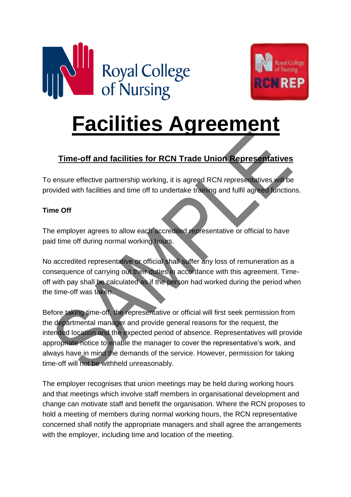



# **Facilities Agreement**

## **Time-off and facilities for RCN Trade Union Representatives**

To ensure effective partnership working, it is agreed RCN representatives will be provided with facilities and time off to undertake training and fulfil agreed functions.

#### **Time Off**

The employer agrees to allow each accredited representative or official to have paid time off during normal working hours.

No accredited representative or official shall suffer any loss of remuneration as a consequence of carrying out their duties in accordance with this agreement. Timeoff with pay shall be calculated as if the person had worked during the period when the time-off was taken.

Before taking time-off, the representative or official will first seek permission from the departmental manager and provide general reasons for the request, the intended location and the expected period of absence. Representatives will provide appropriate notice to enable the manager to cover the representative's work, and always have in mind the demands of the service. However, permission for taking time-off will not be withheld unreasonably.

The employer recognises that union meetings may be held during working hours and that meetings which involve staff members in organisational development and change can motivate staff and benefit the organisation. Where the RCN proposes to hold a meeting of members during normal working hours, the RCN representative concerned shall notify the appropriate managers and shall agree the arrangements with the employer, including time and location of the meeting.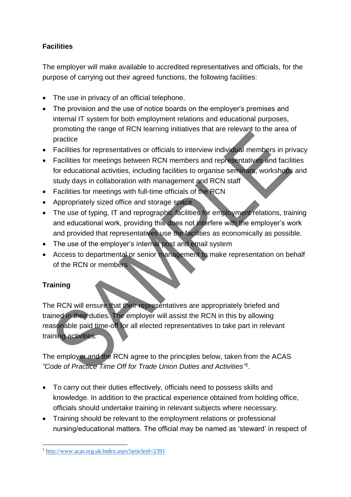### **Facilities**

The employer will make available to accredited representatives and officials, for the purpose of carrying out their agreed functions, the following facilities:

- The use in privacy of an official telephone.
- The provision and the use of notice boards on the employer's premises and internal IT system for both employment relations and educational purposes, promoting the range of RCN learning initiatives that are relevant to the area of practice
- Facilities for representatives or officials to interview individual members in privacy
- Facilities for meetings between RCN members and representatives and facilities for educational activities, including facilities to organise seminars, workshops and study days in collaboration with management and RCN staff
- Facilities for meetings with full-time officials of the RCN
- Appropriately sized office and storage space
- The use of typing, IT and reprographic facilities for employment relations, training and educational work, providing this does not interfere with the employer's work and provided that representatives use the facilities as economically as possible.
- The use of the employer's internal post and email system
- Access to departmental or senior management to make representation on behalf of the RCN or members

#### **Training**

The RCN will ensure that their representatives are appropriately briefed and trained in their duties. The employer will assist the RCN in this by allowing reasonable paid time-off for all elected representatives to take part in relevant training activities.

The employer and the RCN agree to the principles below, taken from the ACAS *"Code of Practice Time Off for Trade Union Duties and Activities" 1* .

- To carry out their duties effectively, officials need to possess skills and knowledge. In addition to the practical experience obtained from holding office, officials should undertake training in relevant subjects where necessary.
- Training should be relevant to the employment relations or professional nursing/educational matters. The official may be named as 'steward' in respect of

 $\overline{\phantom{a}}$ <sup>1</sup> <http://www.acas.org.uk/index.aspx?articleid=2391>